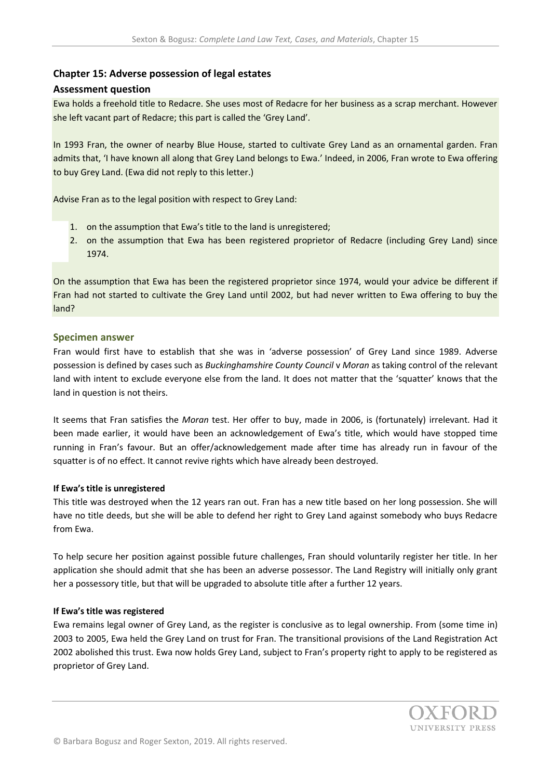# **Chapter 15: Adverse possession of legal estates**

### **Assessment question**

Ewa holds a freehold title to Redacre. She uses most of Redacre for her business as a scrap merchant. However she left vacant part of Redacre; this part is called the 'Grey Land'.

In 1993 Fran, the owner of nearby Blue House, started to cultivate Grey Land as an ornamental garden. Fran admits that, 'I have known all along that Grey Land belongs to Ewa.' Indeed, in 2006, Fran wrote to Ewa offering to buy Grey Land. (Ewa did not reply to this letter.)

Advise Fran as to the legal position with respect to Grey Land:

- 1. on the assumption that Ewa's title to the land is unregistered;
- 2. on the assumption that Ewa has been registered proprietor of Redacre (including Grey Land) since 1974.

On the assumption that Ewa has been the registered proprietor since 1974, would your advice be different if Fran had not started to cultivate the Grey Land until 2002, but had never written to Ewa offering to buy the land?

### **Specimen answer**

Fran would first have to establish that she was in 'adverse possession' of Grey Land since 1989. Adverse possession is defined by cases such as *Buckinghamshire County Council* v *Moran* as taking control of the relevant land with intent to exclude everyone else from the land. It does not matter that the 'squatter' knows that the land in question is not theirs.

It seems that Fran satisfies the *Moran* test. Her offer to buy, made in 2006, is (fortunately) irrelevant. Had it been made earlier, it would have been an acknowledgement of Ewa's title, which would have stopped time running in Fran's favour. But an offer/acknowledgement made after time has already run in favour of the squatter is of no effect. It cannot revive rights which have already been destroyed.

#### **If Ewa's title is unregistered**

This title was destroyed when the 12 years ran out. Fran has a new title based on her long possession. She will have no title deeds, but she will be able to defend her right to Grey Land against somebody who buys Redacre from Ewa.

To help secure her position against possible future challenges, Fran should voluntarily register her title. In her application she should admit that she has been an adverse possessor. The Land Registry will initially only grant her a possessory title, but that will be upgraded to absolute title after a further 12 years.

#### **If Ewa's title was registered**

Ewa remains legal owner of Grey Land, as the register is conclusive as to legal ownership. From (some time in) 2003 to 2005, Ewa held the Grey Land on trust for Fran. The transitional provisions of the Land Registration Act 2002 abolished this trust. Ewa now holds Grey Land, subject to Fran's property right to apply to be registered as proprietor of Grey Land.